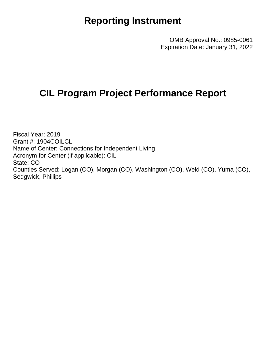## **Reporting Instrument**

OMB Approval No.: 0985-0061 Expiration Date: January 31, 2022

## **CIL Program Project Performance Report**

Fiscal Year: 2019 Grant #: 1904COILCL Name of Center: Connections for Independent Living Acronym for Center (if applicable): CIL State: CO Counties Served: Logan (CO), Morgan (CO), Washington (CO), Weld (CO), Yuma (CO), Sedgwick, Phillips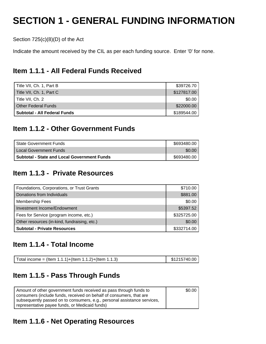# **SECTION 1 - GENERAL FUNDING INFORMATION**

Section 725(c)(8)(D) of the Act

Indicate the amount received by the CIL as per each funding source. Enter '0' for none.

## **Item 1.1.1 - All Federal Funds Received**

| Title VII, Ch. 1, Part B     | \$39726.70  |
|------------------------------|-------------|
| Title VII, Ch. 1, Part C     | \$127817.00 |
| Title VII, Ch. 2             | \$0.00      |
| <b>Other Federal Funds</b>   | \$22000.00  |
| Subtotal - All Federal Funds | \$189544.00 |

## **Item 1.1.2 - Other Government Funds**

| <b>State Government Funds</b>                      | \$693480.00 |
|----------------------------------------------------|-------------|
| I Local Government Funds                           | \$0.00      |
| <b>Subtotal - State and Local Government Funds</b> | \$693480.00 |

## **Item 1.1.3 - Private Resources**

| Foundations, Corporations, or Trust Grants   | \$710.00    |
|----------------------------------------------|-------------|
| Donations from Individuals                   | \$881.00    |
| Membership Fees                              | \$0.00      |
| Investment Income/Endowment                  | \$5397.52   |
| Fees for Service (program income, etc.)      | \$325725.00 |
| Other resources (in-kind, fundraising, etc.) | \$0.00      |
| <b>Subtotal - Private Resources</b>          | \$332714.00 |

### **Item 1.1.4 - Total Income**

| Total income = (Item 1.1.1)+(Item 1.1.2)+(Item 1.1.3) | $\frac{1}{2}$ \$1215740.00 |
|-------------------------------------------------------|----------------------------|
|-------------------------------------------------------|----------------------------|

## **Item 1.1.5 - Pass Through Funds**

| Amount of other government funds received as pass through funds to       | \$0.00 |
|--------------------------------------------------------------------------|--------|
| consumers (include funds, received on behalf of consumers, that are      |        |
| subsequently passed on to consumers, e.g., personal assistance services, |        |
| representative payee funds, or Medicaid funds)                           |        |

## **Item 1.1.6 - Net Operating Resources**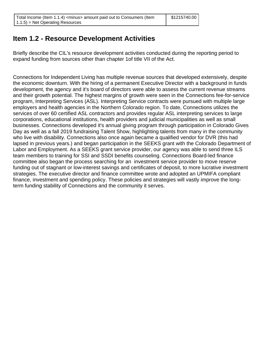## **Item 1.2 - Resource Development Activities**

Briefly describe the CIL's resource development activities conducted during the reporting period to expand funding from sources other than chapter 1of title VII of the Act.

Connections for Independent Living has multiple revenue sources that developed extensively, despite the economic downturn. With the hiring of a permanent Executive Director with a background in funds development, the agency and it's board of directors were able to assess the current revenue streams and their growth potential. The highest margins of growth were seen in the Connections fee-for-service program, Interpreting Services (ASL). Interpreting Service contracts were pursued with multiple large employers and health agencies in the Northern Colorado region. To date, Connections utilizes the services of over 60 certified ASL contractors and provides regular ASL interpreting services to large corporations, educational institutions, health providers and judicial municipalities as well as small businesses. Connections developed it's annual giving program through participation in Colorado Gives Day as well as a fall 2019 fundraising Talent Show, highlighting talents from many in the community who live with disability. Connections also once again became a qualified vendor for DVR (this had lapsed in previous years.) and began participation in the SEEKS grant with the Colorado Department of Labor and Employment. As a SEEKS grant service provider, our agency was able to send three ILS team members to training for SSI and SSDI benefits counseling. Connections Board-led finance committee also began the process searching for an investment service provider to move reserve funding out of stagnant or low-interest savings and certificates of deposit, to more lucrative investment strategies. The executive director and finance committee wrote and adopted an UPMIFA compliant finance, investment and spending policy. These policies and strategies will vastly improve the longterm funding stability of Connections and the community it serves.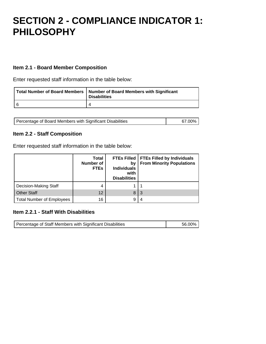## **SECTION 2 - COMPLIANCE INDICATOR 1: PHILOSOPHY**

#### **Item 2.1 - Board Member Composition**

Enter requested staff information in the table below:

| Total Number of Board Members   Number of Board Members with Significant<br><b>Disabilities</b> |
|-------------------------------------------------------------------------------------------------|
|                                                                                                 |

| Percentage of Board Members with Significant Disabilities | 67.00% |
|-----------------------------------------------------------|--------|
|                                                           |        |

#### **Item 2.2 - Staff Composition**

Enter requested staff information in the table below:

|                                  | <b>Total</b><br>Number of<br><b>FTEs</b> | <b>FTEs Filled</b><br>bv<br><b>Individuals</b><br>with<br><b>Disabilities</b> | <b>FTEs Filled by Individuals</b><br><b>From Minority Populations</b> |
|----------------------------------|------------------------------------------|-------------------------------------------------------------------------------|-----------------------------------------------------------------------|
| Decision-Making Staff            | 4                                        |                                                                               |                                                                       |
| <b>Other Staff</b>               | 12                                       | 8                                                                             | -3                                                                    |
| <b>Total Number of Employees</b> | 16                                       | 9                                                                             | 4                                                                     |

#### **Item 2.2.1 - Staff With Disabilities**

| Percentage of Staff Members with Significant Disabilities | 56.00% |
|-----------------------------------------------------------|--------|
|                                                           |        |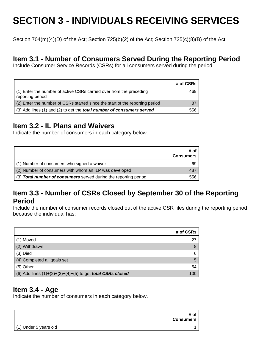# **SECTION 3 - INDIVIDUALS RECEIVING SERVICES**

Section 704(m)(4)(D) of the Act; Section 725(b)(2) of the Act; Section 725(c)(8)(B) of the Act

### **Item 3.1 - Number of Consumers Served During the Reporting Period**

Include Consumer Service Records (CSRs) for all consumers served during the period

|                                                                                         | # of CSRs |
|-----------------------------------------------------------------------------------------|-----------|
| (1) Enter the number of active CSRs carried over from the preceding<br>reporting period | 469       |
| (2) Enter the number of CSRs started since the start of the reporting period            |           |
| (3) Add lines (1) and (2) to get the <b>total number of consumers served</b>            | 556       |

## **Item 3.2 - IL Plans and Waivers**

Indicate the number of consumers in each category below.

|                                                                  | # of<br><b>Consumers</b> |
|------------------------------------------------------------------|--------------------------|
| (1) Number of consumers who signed a waiver                      | 69                       |
| (2) Number of consumers with whom an ILP was developed           | 487                      |
| (3) Total number of consumers served during the reporting period | 556                      |

### **Item 3.3 - Number of CSRs Closed by September 30 of the Reporting Period**

Include the number of consumer records closed out of the active CSR files during the reporting period because the individual has:

|                                                                     | # of CSRs |
|---------------------------------------------------------------------|-----------|
| (1) Moved                                                           | 27        |
| (2) Withdrawn                                                       | 8         |
| $(3)$ Died                                                          | 6         |
| (4) Completed all goals set                                         | 5         |
| (5) Other                                                           | 54        |
| (6) Add lines $(1)+(2)+(3)+(4)+(5)$ to get <b>total CSRs closed</b> | 100       |

### **Item 3.4 - Age**

Indicate the number of consumers in each category below.

|                       | # of<br><b>Consumers</b> |
|-----------------------|--------------------------|
| (1) Under 5 years old |                          |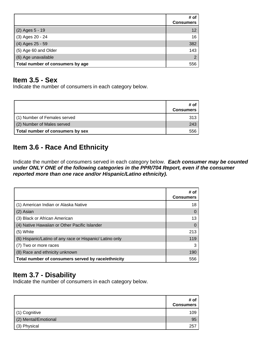|                                  | # of<br><b>Consumers</b> |
|----------------------------------|--------------------------|
| (2) Ages 5 - 19                  | 12                       |
| (3) Ages 20 - 24                 | 16                       |
| (4) Ages 25 - 59                 | 382                      |
| (5) Age 60 and Older             | 143                      |
| (6) Age unavailable              | $\overline{2}$           |
| Total number of consumers by age | 556                      |

## **Item 3.5 - Sex**

Indicate the number of consumers in each category below.

|                                  | # of<br><b>Consumers</b> |
|----------------------------------|--------------------------|
| (1) Number of Females served     | 313                      |
| (2) Number of Males served       | 243                      |
| Total number of consumers by sex | 556                      |

## **Item 3.6 - Race And Ethnicity**

Indicate the number of consumers served in each category below. **Each consumer may be counted** under ONLY ONE of the following categories in the PPR/704 Report, even if the consumer **reported more than one race and/or Hispanic/Latino ethnicity).**

|                                                          | # of<br><b>Consumers</b> |
|----------------------------------------------------------|--------------------------|
| (1) American Indian or Alaska Native                     | 18                       |
| (2) Asian                                                |                          |
| (3) Black or African American                            | 13                       |
| (4) Native Hawaiian or Other Pacific Islander            |                          |
| (5) White                                                | 213                      |
| (6) Hispanic/Latino of any race or Hispanic/ Latino only | 119                      |
| (7) Two or more races                                    | 3                        |
| (8) Race and ethnicity unknown                           | 190                      |
| Total number of consumers served by race/ethnicity       | 556                      |

## **Item 3.7 - Disability**

Indicate the number of consumers in each category below.

|                      | # of<br><b>Consumers</b> |
|----------------------|--------------------------|
| (1) Cognitive        | 109                      |
| (2) Mental/Emotional | 95                       |
| (3) Physical         | 257                      |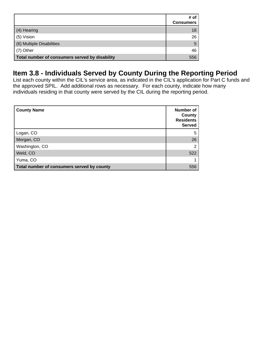|                                                | # of<br><b>Consumers</b> |
|------------------------------------------------|--------------------------|
| (4) Hearing                                    | 18                       |
| (5) Vision                                     | 26                       |
| (6) Multiple Disabilities                      | 5                        |
| (7) Other                                      | 46                       |
| Total number of consumers served by disability | 556                      |

## **Item 3.8 - Individuals Served by County During the Reporting Period**

List each county within the CIL's service area, as indicated in the CIL's application for Part C funds and the approved SPIL. Add additional rows as necessary. For each county, indicate how many individuals residing in that county were served by the CIL during the reporting period.

| <b>County Name</b>                         | Number of<br>County<br><b>Residents</b><br><b>Served</b> |
|--------------------------------------------|----------------------------------------------------------|
| Logan, CO                                  | 5                                                        |
| Morgan, CO                                 | 26                                                       |
| Washington, CO                             | 2                                                        |
| Weld, CO                                   | 522                                                      |
| Yuma, CO                                   | 1                                                        |
| Total number of consumers served by county | 556                                                      |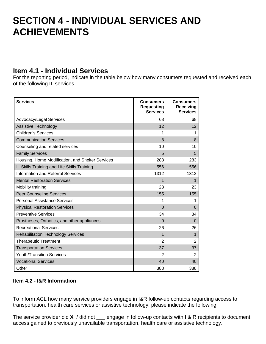## **SECTION 4 - INDIVIDUAL SERVICES AND ACHIEVEMENTS**

## **Item 4.1 - Individual Services**

For the reporting period, indicate in the table below how many consumers requested and received each of the following IL services.

| <b>Services</b>                                  | <b>Consumers</b><br><b>Requesting</b><br><b>Services</b> | <b>Consumers</b><br><b>Receiving</b><br><b>Services</b> |
|--------------------------------------------------|----------------------------------------------------------|---------------------------------------------------------|
| Advocacy/Legal Services                          | 68                                                       | 68                                                      |
| Assistive Technology                             | 12                                                       | 12                                                      |
| <b>Children's Services</b>                       | 1                                                        | 1                                                       |
| <b>Communication Services</b>                    | 8                                                        | 8                                                       |
| Counseling and related services                  | 10                                                       | 10                                                      |
| <b>Family Services</b>                           | 5                                                        | 5                                                       |
| Housing, Home Modification, and Shelter Services | 283                                                      | 283                                                     |
| IL Skills Training and Life Skills Training      | 556                                                      | 556                                                     |
| <b>Information and Referral Services</b>         | 1312                                                     | 1312                                                    |
| <b>Mental Restoration Services</b>               | 1                                                        | 1                                                       |
| Mobility training                                | 23                                                       | 23                                                      |
| <b>Peer Counseling Services</b>                  | 155                                                      | 155                                                     |
| <b>Personal Assistance Services</b>              | 1                                                        | 1                                                       |
| <b>Physical Restoration Services</b>             | $\Omega$                                                 | $\Omega$                                                |
| <b>Preventive Services</b>                       | 34                                                       | 34                                                      |
| Prostheses, Orthotics, and other appliances      | $\Omega$                                                 | $\Omega$                                                |
| <b>Recreational Services</b>                     | 26                                                       | 26                                                      |
| <b>Rehabilitation Technology Services</b>        | 1                                                        | 1                                                       |
| <b>Therapeutic Treatment</b>                     | $\overline{2}$                                           | $\overline{2}$                                          |
| <b>Transportation Services</b>                   | 37                                                       | 37                                                      |
| <b>Youth/Transition Services</b>                 | 2                                                        | $\overline{2}$                                          |
| <b>Vocational Services</b>                       | 40                                                       | 40                                                      |
| Other                                            | 388                                                      | 388                                                     |

#### **Item 4.2 - I&R Information**

To inform ACL how many service providers engage in I&R follow-up contacts regarding access to transportation, health care services or assistive technology, please indicate the following:

The service provider did **X** / did not \_\_\_ engage in follow-up contacts with I & R recipients to document access gained to previously unavailable transportation, health care or assistive technology.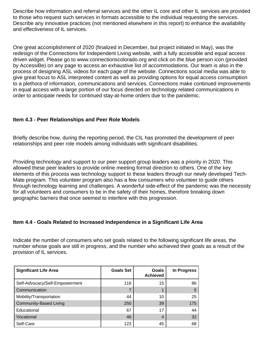Describe how information and referral services and the other IL core and other IL services are provided to those who request such services in formats accessible to the individual requesting the services. Describe any innovative practices (not mentioned elsewhere in this report) to enhance the availability and effectiveness of IL services.

One great accomplishment of 2020 (finalized in December, but project initiated in May), was the redesign of the Connections for Independent Living website, with a fully accessible and equal access driven widget. Please go to www.connectionscolorado.org and click on the blue person icon (provided by AccessiBe) on any page to access an exhaustive list of accommodations. Our team is also in the process of designing ASL videos for each page of the website. Connections social media was able to give great focus to ASL interpreted content as well as providing options for equal access consumption to a plethora of information, communications and services. Connections make continued improvements in equal access with a large portion of our focus directed on technology related communications in order to anticipate needs for continued stay-at-home orders due to the pandemic.

#### **Item 4.3 - Peer Relationships and Peer Role Models**

Briefly describe how, during the reporting period, the CIL has promoted the development of peer relationships and peer role models among individuals with significant disabilities.

Providing technology and support to our peer support group leaders was a priority in 2020. This allowed these peer leaders to provide online meeting format direction to others. One of the key elements of this process was technology support to these leaders through our newly developed Tech-Mate program. This volunteer program also has a few consumers who volunteer to guide others through technology learning and challenges. A wonderful side-effect of the pandemic was the necessity for all volunteers and consumers to be in the safety of their homes, therefore breaking down geographic barriers that once seemed to interfere with this progression.

#### **Item 4.4 - Goals Related to Increased Independence in a Significant Life Area**

Indicate the number of consumers who set goals related to the following significant life areas, the number whose goals are still in progress, and the number who achieved their goals as a result of the provision of IL services.

| <b>Significant Life Area</b>   | <b>Goals Set</b> | Goals<br><b>Achieved</b> | In Progress |
|--------------------------------|------------------|--------------------------|-------------|
| Self-Advocacy/Self-Empowerment | 116              | 15                       | 86          |
| Communication                  |                  |                          | 5           |
| Mobility/Transportation        | 44               | 10                       | 25          |
| <b>Community-Based Living</b>  | 250              | 39                       | 175         |
| Educational                    | 67               | 17                       | 44          |
| Vocational                     | 46               | 4                        | 32          |
| Self-Care                      | 123              | 45                       | 68          |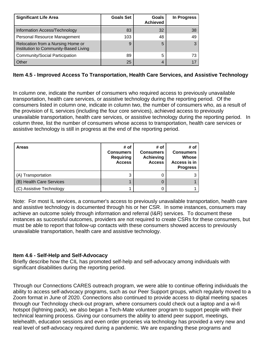| <b>Significant Life Area</b>                                               | <b>Goals Set</b> | <b>Goals</b><br><b>Achieved</b> | In Progress |
|----------------------------------------------------------------------------|------------------|---------------------------------|-------------|
| Information Access/Technology                                              | 83               | 32                              | 38          |
| Personal Resource Management                                               | 103              | 48                              | 49          |
| Relocation from a Nursing Home or<br>Institution to Community-Based Living | 9                | 5                               |             |
| Community/Social Participation                                             | 89               | 5                               | 73          |
| Other                                                                      | 25               | 4                               |             |

#### **Item 4.5 - Improved Access To Transportation, Health Care Services, and Assistive Technology**

In column one, indicate the number of consumers who required access to previously unavailable transportation, health care services, or assistive technology during the reporting period. Of the consumers listed in column one, indicate in column two, the number of consumers who, as a result of the provision of IL services (including the four core services), achieved access to previously unavailable transportation, health care services, or assistive technology during the reporting period. In column three, list the number of consumers whose access to transportation, health care services or assistive technology is still in progress at the end of the reporting period.

| <b>Areas</b>             | # of<br><b>Consumers</b><br><b>Requiring</b><br><b>Access</b> | # of<br><b>Consumers</b><br><b>Achieving</b><br><b>Access</b> | # of<br><b>Consumers</b><br>Whose<br>Access is in<br><b>Progress</b> |
|--------------------------|---------------------------------------------------------------|---------------------------------------------------------------|----------------------------------------------------------------------|
| (A) Transportation       | 3                                                             |                                                               |                                                                      |
| (B) Health Care Services |                                                               |                                                               |                                                                      |
| (C) Assistive Technology |                                                               |                                                               |                                                                      |

Note: For most IL services, a consumer's access to previously unavailable transportation, health care and assistive technology is documented through his or her CSR. In some instances, consumers may achieve an outcome solely through information and referral (I&R) services. To document these instances as successful outcomes, providers are not required to create CSRs for these consumers, but must be able to report that follow-up contacts with these consumers showed access to previously unavailable transportation, health care and assistive technology.

#### **Item 4.6 - Self-Help and Self-Advocacy**

Briefly describe how the CIL has promoted self-help and self-advocacy among individuals with significant disabilities during the reporting period.

Through our Connections CARES outreach program, we were able to continue offering individuals the ability to access self-advocacy programs, such as our Peer Support groups, which regularly moved to a Zoom format in June of 2020. Connections also continued to provide access to digital meeting spaces through our Technology check-out program, where consumers could check out a laptop and a wi-fi hotspot (lightning pack), we also began a Tech-Mate volunteer program to support people with their technical learning process. Giving our consumers the ability to attend peer support, meetings, telehealth, education sessions and even order groceries via technology has provided a very new and real level of self-advocacy required during a pandemic. We are expanding these programs and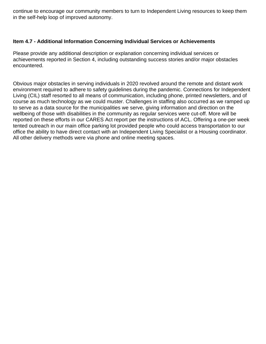continue to encourage our community members to turn to Independent Living resources to keep them in the self-help loop of improved autonomy.

#### **Item 4.7 - Additional Information Concerning Individual Services or Achievements**

Please provide any additional description or explanation concerning individual services or achievements reported in Section 4, including outstanding success stories and/or major obstacles encountered.

Obvious major obstacles in serving individuals in 2020 revolved around the remote and distant work environment required to adhere to safety guidelines during the pandemic. Connections for Independent Living (CIL) staff resorted to all means of communication, including phone, printed newsletters, and of course as much technology as we could muster. Challenges in staffing also occurred as we ramped up to serve as a data source for the municipalities we serve, giving information and direction on the wellbeing of those with disabilities in the community as regular services were cut-off. More will be reported on these efforts in our CARES Act report per the instructions of ACL. Offering a one-per week tented outreach in our main office parking lot provided people who could access transportation to our office the ability to have direct contact with an Independent Living Specialist or a Housing coordinator. All other delivery methods were via phone and online meeting spaces.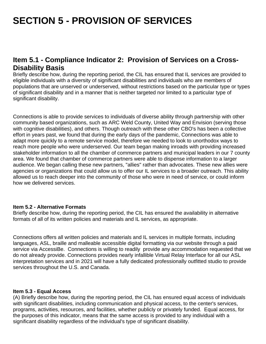# **SECTION 5 - PROVISION OF SERVICES**

## **Item 5.1 - Compliance Indicator 2: Provision of Services on a Cross-Disability Basis**

Briefly describe how, during the reporting period, the CIL has ensured that IL services are provided to eligible individuals with a diversity of significant disabilities and individuals who are members of populations that are unserved or underserved, without restrictions based on the particular type or types of significant disability and in a manner that is neither targeted nor limited to a particular type of significant disability.

Connections is able to provide services to individuals of diverse ability through partnership with other community based organizations, such as ARC Weld County, United Way and Envision (serving those with cognitive disabilities), and others. Though outreach with these other CBO's has been a collective effort in years past, we found that during the early days of the pandemic, Connections was able to adapt more quickly to a remote service model, therefore we needed to look to unorthodox ways to reach more people who were underserved. Our team began making inroads with providing increased stakeholder information to all the chamber of commerce partners and municipal leaders in our 7 county area. We found that chamber of commerce partners were able to dispense information to a larger audience. We began calling these new partners, "allies" rather than advocates. These new allies were agencies or organizations that could allow us to offer our IL services to a broader outreach. This ability allowed us to reach deeper into the community of those who were in need of service, or could inform how we delivered services.

#### **Item 5.2 - Alternative Formats**

Briefly describe how, during the reporting period, the CIL has ensured the availability in alternative formats of all of its written policies and materials and IL services, as appropriate.

Connections offers all written policies and materials and IL services in multiple formats, including languages, ASL, braille and malleable accessible digital formatting via our website through a paid service via AccessiBe. Connections is willing to readily provide any accommodation requested that we do not already provide. Connections provides nearly infallible Virtual Relay Interface for all our ASL interpretation services and in 2021 will have a fully dedicated professionally outfitted studio to provide services throughout the U.S. and Canada.

#### **Item 5.3 - Equal Access**

(A) Briefly describe how, during the reporting period, the CIL has ensured equal access of individuals with significant disabilities, including communication and physical access, to the center's services, programs, activities, resources, and facilities, whether publicly or privately funded. Equal access, for the purposes of this indicator, means that the same access is provided to any individual with a significant disability regardless of the individual's type of significant disability.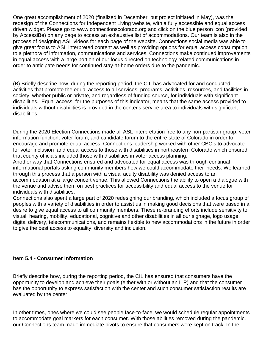One great accomplishment of 2020 (finalized in December, but project initiated in May), was the redesign of the Connections for Independent Living website, with a fully accessible and equal access driven widget. Please go to www.connectionscolorado.org and click on the blue person icon (provided by AccessiBe) on any page to access an exhaustive list of accommodations. Our team is also in the process of designing ASL videos for each page of the website. Connections social media was able to give great focus to ASL interpreted content as well as providing options for equal access consumption to a plethora of information, communications and services. Connections make continued improvements in equal access with a large portion of our focus directed on technology related communications in order to anticipate needs for continued stay-at-home orders due to the pandemic.

(B) Briefly describe how, during the reporting period, the CIL has advocated for and conducted activities that promote the equal access to all services, programs, activities, resources, and facilities in society, whether public or private, and regardless of funding source, for individuals with significant disabilities. Equal access, for the purposes of this indicator, means that the same access provided to individuals without disabilities is provided in the center's service area to individuals with significant disabilities.

During the 2020 Election Connections made all ASL interpretation free to any non-partisan group, voter information function, voter forum, and candidate forum to the entire state of Colorado in order to encourage and promote equal access. Connections leadership worked with other CBO's to advocate for voter inclusion and equal access to those with disabilities in northeastern Colorado which ensured that county officials included those with disabilities in voter access planning.

Another way that Connections ensured and advocated for equal access was through continual informational portals asking community members how we could accommodate their needs. We learned through this process that a person with a visual acuity disability was denied access to an accommodation at a large concert venue. This allowed Connections the ability to open a dialogue with the venue and advise them on best practices for accessibility and equal access to the venue for individuals with disabilities.

Connections also spent a large part of 2020 redesigning our branding, which included a focus group of peoples with a variety of disabilities in order to assist us in making good decisions that were based in a desire to give equal access to all community members. These re-branding efforts include sensitivity to visual, hearing, mobility, educational, cognitive and other disabilities in all our signage, logo usage, digital delivery, telecommunications, and remains flexible to new accommodations in the future in order to give the best access to equality, diversity and inclusion.

#### **Item 5.4 - Consumer Information**

Briefly describe how, during the reporting period, the CIL has ensured that consumers have the opportunity to develop and achieve their goals (either with or without an ILP) and that the consumer has the opportunity to express satisfaction with the center and such consumer satisfaction results are evaluated by the center.

In other times, ones where we could see people face-to-face, we would schedule regular appointments to accommodate goal markers for each consumer. With those abilities removed during the pandemic, our Connections team made immediate pivots to ensure that consumers were kept on track. In the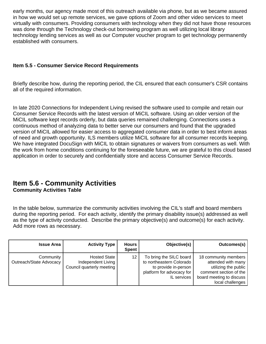early months, our agency made most of this outreach available via phone, but as we became assured in how we would set up remote services, we gave options of Zoom and other video services to meet virtually with consumers. Providing consumers with technology when they did not have those resources was done through the Technology check-out borrowing program as well utilizing local library technology lending services as well as our Computer voucher program to get technology permanently established with consumers.

#### **Item 5.5 - Consumer Service Record Requirements**

Briefly describe how, during the reporting period, the CIL ensured that each consumer's CSR contains all of the required information.

In late 2020 Connections for Independent Living revised the software used to compile and retain our Consumer Service Records with the latest version of MiCIL software. Using an older version of the MiCIL software kept records orderly, but data queries remained challenging. Connections uses a continuous method of analyzing data to better serve our consumers and found that the upgraded version of MiCIL allowed for easier access to aggregated consumer data in order to best inform areas of need and growth opportunity. ILS members utilize MiCIL software for all consumer records keeping. We have integrated DocuSign with MiCIL to obtain signatures or waivers from consumers as well. With the work from home conditions continuing for the foreseeable future, we are grateful to this cloud based application in order to securely and confidentially store and access Consumer Service Records.

## **Item 5.6 - Community Activities**

**Community Activities Table**

In the table below, summarize the community activities involving the CIL's staff and board members during the reporting period. For each activity, identify the primary disability issue(s) addressed as well as the type of activity conducted. Describe the primary objective(s) and outcome(s) for each activity. Add more rows as necessary.

| <b>Issue Area</b>                    | <b>Activity Type</b>                                            | <b>Hours</b><br><b>Spent</b> | Objective(s)                                                                                                            | Outcomes(s)                                                                                                                                  |
|--------------------------------------|-----------------------------------------------------------------|------------------------------|-------------------------------------------------------------------------------------------------------------------------|----------------------------------------------------------------------------------------------------------------------------------------------|
| Community<br>Outreach/State Advocacy | Hosted State<br>Independent Living<br>Council quarterly meeting | 12                           | To bring the SILC board<br>to northeastern Colorado<br>to provide in-person<br>platform for advocacy for<br>IL services | 18 community members<br>attended with many<br>utilizing the public<br>comment section of the<br>board meeting to discuss<br>local challenges |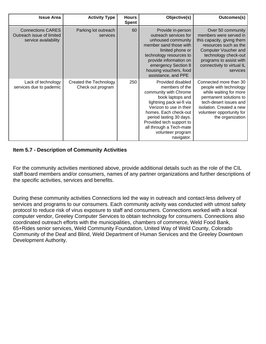| Outcomes(s)                                                                                                                                                                                                             | Objective(s)                                                                                                                                                                                                                                                                          | <b>Hours</b><br><b>Spent</b> | <b>Activity Type</b>                        | <b>Issue Area</b>                                                             |
|-------------------------------------------------------------------------------------------------------------------------------------------------------------------------------------------------------------------------|---------------------------------------------------------------------------------------------------------------------------------------------------------------------------------------------------------------------------------------------------------------------------------------|------------------------------|---------------------------------------------|-------------------------------------------------------------------------------|
| Over 50 community<br>members were served in<br>this capacity, giving them<br>resources such as the<br>Computer Voucher and<br>technology check-out<br>programs to assist with<br>connectivity to virtual IL<br>services | Provide in-person<br>outreach services for<br>unhoused community<br>member sand those with<br>limited phone or<br>technology resources to<br>provide information on<br>emergency Section 8<br>housing vouchers, food<br>assistance, and PPE                                           | 60                           | Parking lot outreach<br>services            | <b>Connections CARES</b><br>Outreach issue of limited<br>service availability |
| Connected more than 30<br>people with technology<br>while waiting for more<br>permanent solutions to<br>tech-desert issues and<br>isolation. Created a new<br>volunteer opportunity for<br>the organization             | Provided disabled<br>members of the<br>community with Chrome<br>book laptops and<br>lightning pack wi-fi via<br>Verizon to use in their<br>homes. Each check-out<br>period lasting 30 days.<br>Provided tech support to<br>all through a Tech-mate<br>volunteer program<br>navigator. | 250                          | Created the Technology<br>Check out program | Lack of technology<br>services due to pademic                                 |

#### **Item 5.7 - Description of Community Activities**

For the community activities mentioned above, provide additional details such as the role of the CIL staff board members and/or consumers, names of any partner organizations and further descriptions of the specific activities, services and benefits.

During these community activities Connections led the way in outreach and contact-less delivery of services and programs to our consumers. Each community activity was conducted with utmost safety protocol to reduce risk of virus exposure to staff and consumers. Connections worked with a local computer vendor, Greeley Computer Services to obtain technology for consumers. Connections also coordinated outreach efforts with the municipalities, chambers of commerce, Weld Food Bank, 65+Rides senior services, Weld Community Foundation, United Way of Weld County, Colorado Community of the Deaf and Blind, Weld Department of Human Services and the Greeley Downtown Development Authority.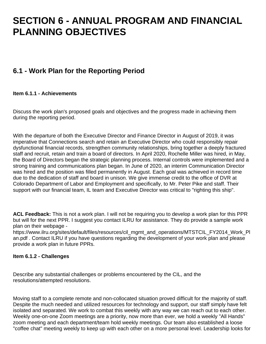## **SECTION 6 - ANNUAL PROGRAM AND FINANCIAL PLANNING OBJECTIVES**

## **6.1 - Work Plan for the Reporting Period**

#### **Item 6.1.1 - Achievements**

Discuss the work plan's proposed goals and objectives and the progress made in achieving them during the reporting period.

With the departure of both the Executive Director and Finance Director in August of 2019, it was imperative that Connections search and retain an Executive Director who could responsibly repair dysfunctional financial records, strengthen community relationships, bring together a deeply fractured staff and recruit, retain and train a board of directors. In April 2020, Rochelle Miller was hired, in May, the Board of Directors began the strategic planning process. Internal controls were implemented and a strong training and communications plan began. In June of 2020, an interim Communication Director was hired and the position was filled permanently in August. Each goal was achieved in record time due to the dedication of staff and board in unison. We give immense credit to the office of DVR at Colorado Department of Labor and Employment and specifically, to Mr. Peter Pike and staff. Their support with our financial team, IL team and Executive Director was critical to "righting this ship".

**ACL Feedback:** This is not a work plan. I will not be requiring you to develop a work plan for this PPR but will for the next PPR. I suggest you contact ILRU for assistance. They do provide a sample work plan on their webpage -

https://www.ilru.org/sites/default/files/resources/cil\_mgmt\_and\_operations/MTSTCIL\_FY2014\_Work\_Pl\_ an.pdf . Contact ILRU if you have questions regarding the development of your work plan and please provide a work plan in future PPRs.

#### **Item 6.1.2 - Challenges**

Describe any substantial challenges or problems encountered by the CIL, and the resolutions/attempted resolutions.

Moving staff to a complete remote and non-collocated situation proved difficult for the majority of staff. Despite the much needed and utilized resources for technology and support, our staff simply have felt isolated and separated. We work to combat this weekly with any way we can reach out to each other. Weekly one-on-one Zoom meetings are a priority, now more than ever, we hold a weekly "All Hands" zoom meeting and each department/team hold weekly meetings. Our team also established a loose "coffee chat" meeting weekly to keep up with each other on a more personal level. Leadership looks for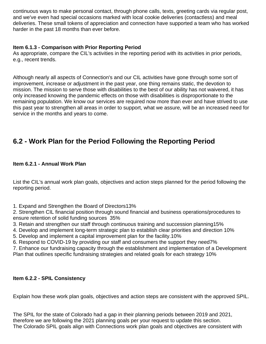continuous ways to make personal contact, through phone calls, texts, greeting cards via regular post, and we've even had special occasions marked with local cookie deliveries (contactless) and meal deliveries. These small tokens of appreciation and connection have supported a team who has worked harder in the past 18 months than ever before.

#### **Item 6.1.3 - Comparison with Prior Reporting Period**

As appropriate, compare the CIL's activities in the reporting period with its activities in prior periods, e.g., recent trends.

Although nearly all aspects of Connection's and our CIL activities have gone through some sort of improvement, increase or adjustment in the past year, one thing remains static, the devotion to mission. The mission to serve those with disabilities to the best of our ability has not waivered, it has only increased knowing the pandemic effects on those with disabilities is disproportionate to the remaining population. We know our services are required now more than ever and have strived to use this past year to strengthen all areas in order to support, what we assure, will be an increased need for service in the months and years to come.

## **6.2 - Work Plan for the Period Following the Reporting Period**

#### **Item 6.2.1 - Annual Work Plan**

List the CIL's annual work plan goals, objectives and action steps planned for the period following the reporting period.

1. Expand and Strengthen the Board of Directors 13% 

2. Strengthen CIL financial position through sound financial and business operations/procedures to ensure retention of solid funding sources 35% 

- 3. Retain and strengthen our staff through continuous training and succession planning 15%
- 4. Develop and implement long-term strategic plan to establish clear priorities and direction 10%
- 5. Develop and implement a capital improvement plan for the facility. 10%
- 6. Respond to COVID-19 by providing our staff and consumers the support they need 7%

7. Enhance our fundraising capacity through the establishment and implementation of a Development Plan that outlines specific fundraising strategies and related goals for each strategy 10%

#### **Item 6.2.2 - SPIL Consistency**

Explain how these work plan goals, objectives and action steps are consistent with the approved SPIL.

The SPIL for the state of Colorado had a gap in their planning periods between 2019 and 2021, therefore we are following the 2021 planning goals per your request to update this section. The Colorado SPIL goals align with Connections work plan goals and objectives are consistent with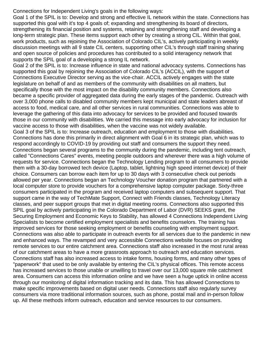Connections for Independent Living's goals in the following ways:

Goal 1 of the SPIL is to: Develop and strong and effective IL network within the state. Connections has supported this goal with it's top 4 goals of; expanding and strengthening its board of directors, strengthening its financial position and systems, retaining and strengthening staff and developing a long-term strategic plan. These items support each other by creating a strong CIL. Within that goal, work products, such as rejoining the Association of Colorado CIL's, actively participating in weekly discussion meetings with all 9 state CIL centers, supporting other CIL's through staff training sharing and open source of policies and procedures has contributed to a solid interagency network that supports the SPIL goal of a developing a strong IL network.

Goal 2 of the SPIL is to: Increase influence in state and national advocacy systems. Connections has supported this goal by rejoining the Association of Colorado CIL's (ACCIL), with the support of Connections Executive Director serving as the vice-chair. ACCIL actively engages with the state legislature on behalf of and as members of the community with disabilities on all matters, but specifically those with the most impact on the disability community members. Connections also became a specific provider of aggregated data during the early stages of the pandemic. Outreach with over 3,000 phone calls to disabled community members kept municipal and state leaders abreast of access to food, medical care, and all other services in rural communities. Connections was able to leverage the gathering of this data into advocacy for services to be provided and focused towards those in our community with disabilities. We carried this message into early advocacy for inclusion for vaccine access to those with disabilities, when the vaccine was not widely available. Goal 3 of the SPIL is to: Increase outreach, education and employment to those with disabilities. Connections has done this primarily in direct alignment with Goal 6 in its strategic plan, which was to respond accordingly to COVID-19 by providing out staff and consumers the support they need. Connections began several programs to the community during the pandemic, including tent outreach, called "Connections Cares" events, meeting people outdoors and wherever there was a high volume of requests for service. Connections began the Technology Lending program to all consumers to provide them with a 30-day borrowed tech device (Laptop, tablet, lightning high speed internet device) of their choice. Consumers can borrow each item for up to 30 days with 3 consecutive check out periods allowed per year. Connections began an Technology Voucher donation program that partnered with a local computer store to provide vouchers for a comprehensive laptop computer package. Sixty-three consumers participated in the program and received laptop computers and subsequent support. That support came in the way of TechMate Support, Connect with Friends classes, Technology Literacy classes, and peer support groups that met in digital meeting rooms. Connections also supported this SPIL goal by actively participating in the Colorado Department of Labor (DVR) SEEKS grant, the Securing Employment and Economic Keys to Stability, has allowed 4 Connections Independent Living Specialists to become certified employment specialists and benefits counselors. The training has improved services for those seeking employment or benefits counseling with employment support. Connections was also able to participate in outreach events for all services due to the pandemic in new and enhanced ways. The revamped and very accessible Connections website focuses on providing remote services to our entire catchment area. Connections staff also increased in the most rural areas of our catchment areas to have a more grassroots approach to outreach and education services. Connections staff has also increased access to intake forms, housing forms, and many other types of "paperwork" that used to be only available by entering the CIL's physical offices. This remote access has increased services to those unable or unwilling to travel over our 13,000 square mile catchment area. Consumers can access this information online and we have seen a huge uptick in online access through our monitoring of digital information tracking and its data. This has allowed Connections to make specific improvements based on digital user needs. Connections staff also regularly survey consumers via more traditional information sources, such as phone, postal mail and in-person follow up. All these methods inform outreach, education and service resources to our consumers.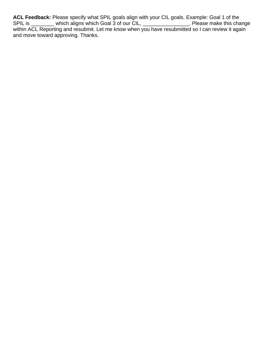**ACL Feedback:** Please specify what SPIL goals align with your CIL goals. Example: Goal 1 of the SPIL is \_\_\_\_\_\_\_\_ which aligns which Goal 3 of our CIL, \_\_\_\_\_\_\_\_\_\_\_\_\_\_\_\_\_\_. Please make this change within ACL Reporting and resubmit. Let me know when you have resubmitted so I can review it again and move toward approving. Thanks.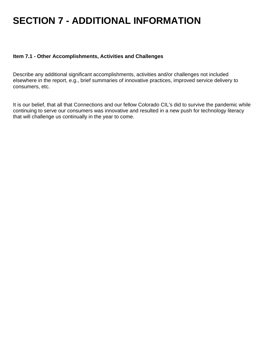# **SECTION 7 - ADDITIONAL INFORMATION**

#### **Item 7.1 - Other Accomplishments, Activities and Challenges**

Describe any additional significant accomplishments, activities and/or challenges not included elsewhere in the report, e.g., brief summaries of innovative practices, improved service delivery to consumers, etc.

It is our belief, that all that Connections and our fellow Colorado CIL's did to survive the pandemic while continuing to serve our consumers was innovative and resulted in a new push for technology literacy that will challenge us continually in the year to come.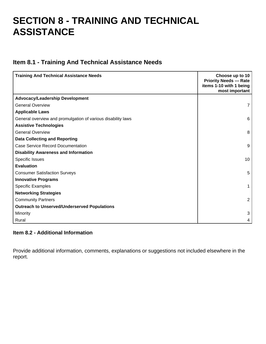## **SECTION 8 - TRAINING AND TECHNICAL ASSISTANCE**

### **Item 8.1 - Training And Technical Assistance Needs**

| <b>Training And Technical Assistance Needs</b>               | Choose up to 10<br><b>Priority Needs --- Rate</b><br>items 1-10 with 1 being<br>most important |
|--------------------------------------------------------------|------------------------------------------------------------------------------------------------|
| <b>Advocacy/Leadership Development</b>                       |                                                                                                |
| <b>General Overview</b>                                      | 7                                                                                              |
| <b>Applicable Laws</b>                                       |                                                                                                |
| General overview and promulgation of various disability laws | 6                                                                                              |
| <b>Assistive Technologies</b>                                |                                                                                                |
| <b>General Overview</b>                                      | 8                                                                                              |
| <b>Data Collecting and Reporting</b>                         |                                                                                                |
| <b>Case Service Record Documentation</b>                     | 9                                                                                              |
| <b>Disability Awareness and Information</b>                  |                                                                                                |
| Specific Issues                                              | 10                                                                                             |
| <b>Evaluation</b>                                            |                                                                                                |
| <b>Consumer Satisfaction Surveys</b>                         | 5                                                                                              |
| <b>Innovative Programs</b>                                   |                                                                                                |
| <b>Specific Examples</b>                                     | 1                                                                                              |
| <b>Networking Strategies</b>                                 |                                                                                                |
| <b>Community Partners</b>                                    | 2                                                                                              |
| <b>Outreach to Unserved/Underserved Populations</b>          |                                                                                                |
| Minority                                                     | 3                                                                                              |
| Rural                                                        | 4                                                                                              |

#### **Item 8.2 - Additional Information**

Provide additional information, comments, explanations or suggestions not included elsewhere in the report.